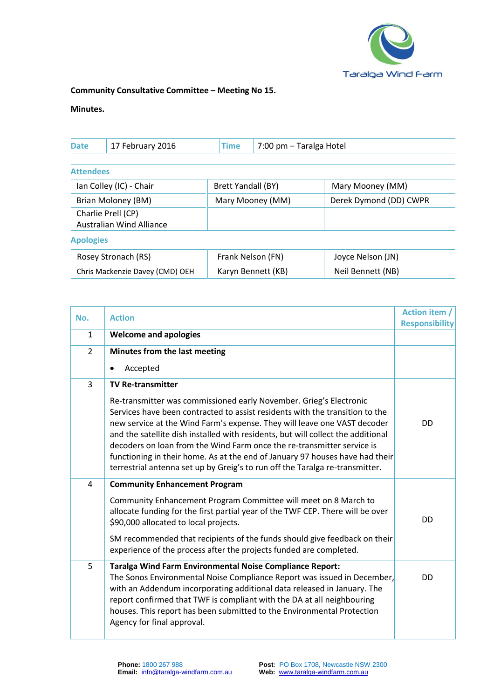

## **Community Consultative Committee – Meeting No 15.**

## **Minutes.**

| <b>Date</b>        | <b>Time</b><br>17 February 2016                       |  | 7:00 pm - Taralga Hotel |                        |
|--------------------|-------------------------------------------------------|--|-------------------------|------------------------|
| <b>Attendees</b>   |                                                       |  |                         |                        |
|                    | Ian Colley (IC) - Chair                               |  | Brett Yandall (BY)      | Mary Mooney (MM)       |
| Brian Moloney (BM) |                                                       |  | Mary Mooney (MM)        | Derek Dymond (DD) CWPR |
|                    | Charlie Prell (CP)<br><b>Australian Wind Alliance</b> |  |                         |                        |
| <b>Apologies</b>   |                                                       |  |                         |                        |
|                    | Rosey Stronach (RS)                                   |  | Frank Nelson (FN)       | Joyce Nelson (IN)      |

| Rosey Stronach (RS)             | Frank Nelson (FN)  | Joyce Nelson (JN) |
|---------------------------------|--------------------|-------------------|
| Chris Mackenzie Davey (CMD) OEH | Karyn Bennett (KB) | Neil Bennett (NB) |

| No.            | <b>Action</b>                                                                                                                                                                                                                                                                                                                                                                                                                                                                                                                                                | Action item /<br><b>Responsibility</b> |
|----------------|--------------------------------------------------------------------------------------------------------------------------------------------------------------------------------------------------------------------------------------------------------------------------------------------------------------------------------------------------------------------------------------------------------------------------------------------------------------------------------------------------------------------------------------------------------------|----------------------------------------|
| $\mathbf{1}$   | <b>Welcome and apologies</b>                                                                                                                                                                                                                                                                                                                                                                                                                                                                                                                                 |                                        |
| $\overline{2}$ | Minutes from the last meeting                                                                                                                                                                                                                                                                                                                                                                                                                                                                                                                                |                                        |
|                | Accepted<br>٠                                                                                                                                                                                                                                                                                                                                                                                                                                                                                                                                                |                                        |
| $\overline{3}$ | <b>TV Re-transmitter</b>                                                                                                                                                                                                                                                                                                                                                                                                                                                                                                                                     |                                        |
|                | Re-transmitter was commissioned early November. Grieg's Electronic<br>Services have been contracted to assist residents with the transition to the<br>new service at the Wind Farm's expense. They will leave one VAST decoder<br>and the satellite dish installed with residents, but will collect the additional<br>decoders on loan from the Wind Farm once the re-transmitter service is<br>functioning in their home. As at the end of January 97 houses have had their<br>terrestrial antenna set up by Greig's to run off the Taralga re-transmitter. | DD                                     |
| 4              | <b>Community Enhancement Program</b>                                                                                                                                                                                                                                                                                                                                                                                                                                                                                                                         |                                        |
|                | Community Enhancement Program Committee will meet on 8 March to<br>allocate funding for the first partial year of the TWF CEP. There will be over<br>\$90,000 allocated to local projects.                                                                                                                                                                                                                                                                                                                                                                   | <b>DD</b>                              |
|                | SM recommended that recipients of the funds should give feedback on their<br>experience of the process after the projects funded are completed.                                                                                                                                                                                                                                                                                                                                                                                                              |                                        |
| 5              | Taralga Wind Farm Environmental Noise Compliance Report:<br>The Sonos Environmental Noise Compliance Report was issued in December,<br>with an Addendum incorporating additional data released in January. The<br>report confirmed that TWF is compliant with the DA at all neighbouring<br>houses. This report has been submitted to the Environmental Protection<br>Agency for final approval.                                                                                                                                                             | DD                                     |